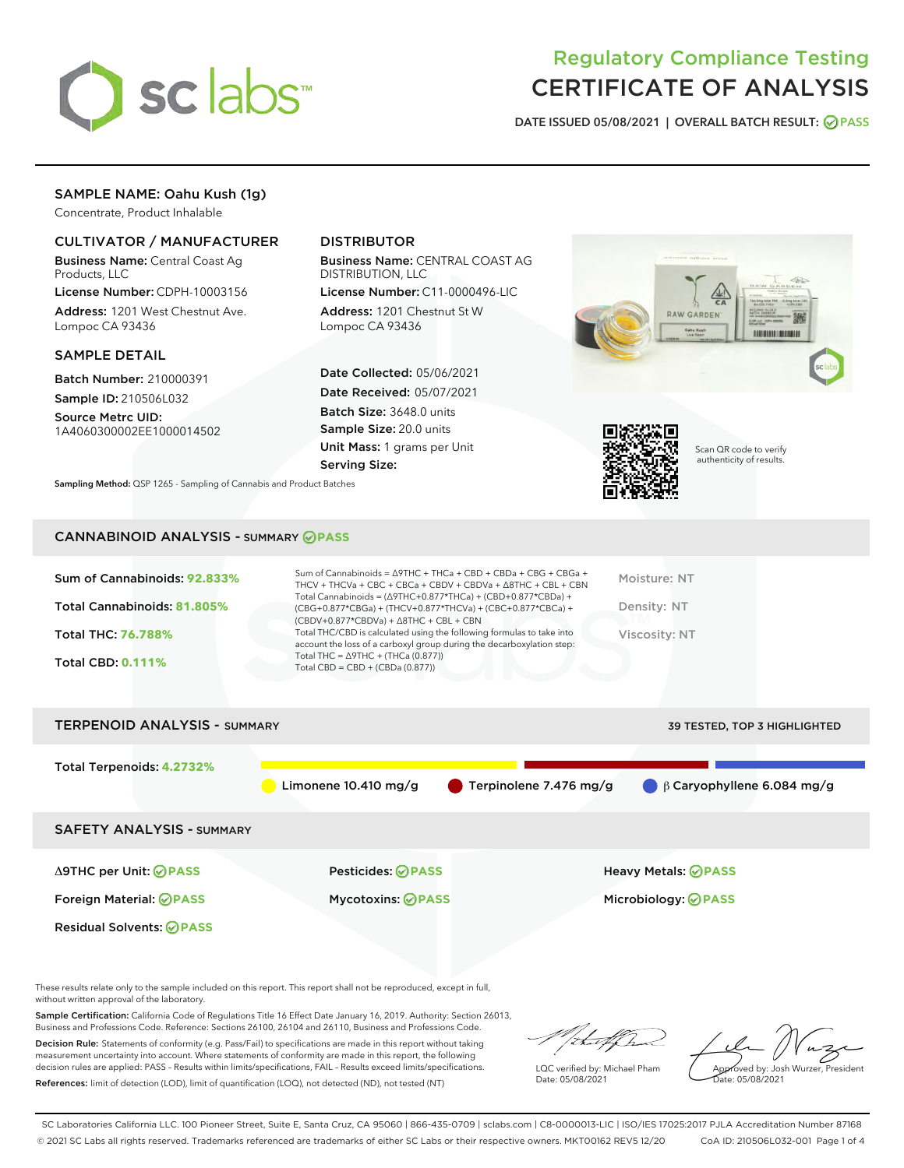

# Regulatory Compliance Testing CERTIFICATE OF ANALYSIS

DATE ISSUED 05/08/2021 | OVERALL BATCH RESULT: @ PASS

# SAMPLE NAME: Oahu Kush (1g)

Concentrate, Product Inhalable

# CULTIVATOR / MANUFACTURER

Business Name: Central Coast Ag Products, LLC

License Number: CDPH-10003156 Address: 1201 West Chestnut Ave. Lompoc CA 93436

#### SAMPLE DETAIL

Batch Number: 210000391 Sample ID: 210506L032

Source Metrc UID: 1A4060300002EE1000014502

# DISTRIBUTOR

Business Name: CENTRAL COAST AG DISTRIBUTION, LLC

License Number: C11-0000496-LIC Address: 1201 Chestnut St W Lompoc CA 93436

Date Collected: 05/06/2021 Date Received: 05/07/2021 Batch Size: 3648.0 units Sample Size: 20.0 units Unit Mass: 1 grams per Unit Serving Size:





Scan QR code to verify authenticity of results.

Sampling Method: QSP 1265 - Sampling of Cannabis and Product Batches

# CANNABINOID ANALYSIS - SUMMARY **PASS**

| Total Cannabinoids = $(\Delta$ 9THC+0.877*THCa) + (CBD+0.877*CBDa) +<br>Total Cannabinoids: 81.805%<br>Density: NT<br>(CBG+0.877*CBGa) + (THCV+0.877*THCVa) + (CBC+0.877*CBCa) +<br>$(CBDV+0.877*CBDVa) + \Delta 8THC + CBL + CBN$<br>Total THC/CBD is calculated using the following formulas to take into<br><b>Total THC: 76.788%</b><br>Viscosity: NT<br>account the loss of a carboxyl group during the decarboxylation step:<br>Total THC = $\triangle$ 9THC + (THCa (0.877))<br><b>Total CBD: 0.111%</b><br>Total CBD = $CBD + (CBDa (0.877))$ | Sum of Cannabinoids: 92.833% | Sum of Cannabinoids = $\triangle$ 9THC + THCa + CBD + CBDa + CBG + CBGa +<br>THCV + THCVa + CBC + CBCa + CBDV + CBDVa + $\Delta$ 8THC + CBL + CBN | Moisture: NT |
|-------------------------------------------------------------------------------------------------------------------------------------------------------------------------------------------------------------------------------------------------------------------------------------------------------------------------------------------------------------------------------------------------------------------------------------------------------------------------------------------------------------------------------------------------------|------------------------------|---------------------------------------------------------------------------------------------------------------------------------------------------|--------------|
|                                                                                                                                                                                                                                                                                                                                                                                                                                                                                                                                                       |                              |                                                                                                                                                   |              |
|                                                                                                                                                                                                                                                                                                                                                                                                                                                                                                                                                       |                              |                                                                                                                                                   |              |
|                                                                                                                                                                                                                                                                                                                                                                                                                                                                                                                                                       |                              |                                                                                                                                                   |              |

| <b>TERPENOID ANALYSIS - SUMMARY</b> |                          |                        | 39 TESTED, TOP 3 HIGHLIGHTED     |
|-------------------------------------|--------------------------|------------------------|----------------------------------|
| Total Terpenoids: 4.2732%           | Limonene $10.410$ mg/g   | Terpinolene 7.476 mg/g | $\beta$ Caryophyllene 6.084 mg/g |
| <b>SAFETY ANALYSIS - SUMMARY</b>    |                          |                        |                                  |
| ∆9THC per Unit: ⊘PASS               | <b>Pesticides: ⊘PASS</b> |                        | <b>Heavy Metals: ⊘ PASS</b>      |
| Foreign Material: <b>⊘PASS</b>      | <b>Mycotoxins: ⊘PASS</b> |                        | Microbiology: <b>OPASS</b>       |
| <b>Residual Solvents: ⊘PASS</b>     |                          |                        |                                  |

These results relate only to the sample included on this report. This report shall not be reproduced, except in full, without written approval of the laboratory.

Sample Certification: California Code of Regulations Title 16 Effect Date January 16, 2019. Authority: Section 26013, Business and Professions Code. Reference: Sections 26100, 26104 and 26110, Business and Professions Code.

Decision Rule: Statements of conformity (e.g. Pass/Fail) to specifications are made in this report without taking measurement uncertainty into account. Where statements of conformity are made in this report, the following decision rules are applied: PASS – Results within limits/specifications, FAIL – Results exceed limits/specifications. References: limit of detection (LOD), limit of quantification (LOQ), not detected (ND), not tested (NT)

/:t=ff/h

LQC verified by: Michael Pham Date: 05/08/2021

Approved by: Josh Wurzer, President Date: 05/08/2021

SC Laboratories California LLC. 100 Pioneer Street, Suite E, Santa Cruz, CA 95060 | 866-435-0709 | sclabs.com | C8-0000013-LIC | ISO/IES 17025:2017 PJLA Accreditation Number 87168 © 2021 SC Labs all rights reserved. Trademarks referenced are trademarks of either SC Labs or their respective owners. MKT00162 REV5 12/20 CoA ID: 210506L032-001 Page 1 of 4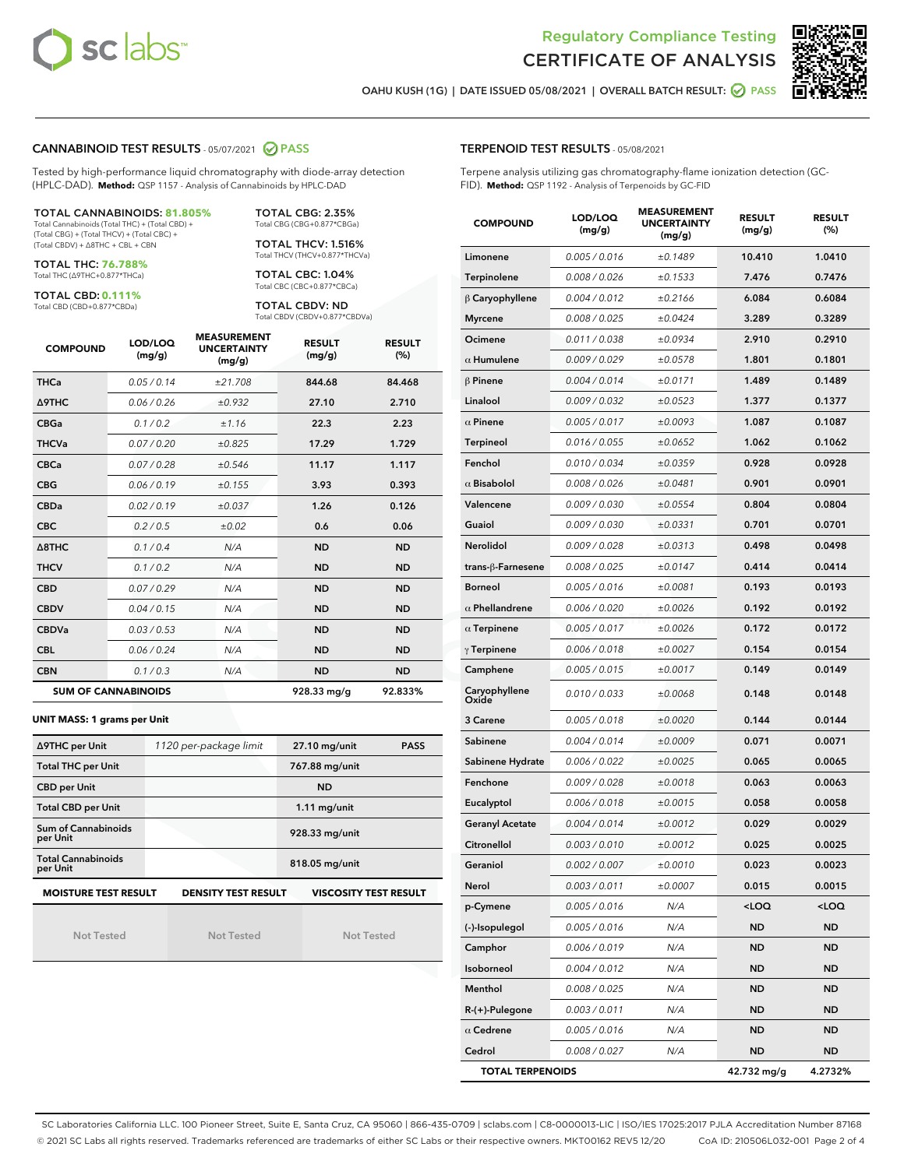



OAHU KUSH (1G) | DATE ISSUED 05/08/2021 | OVERALL BATCH RESULT: @ PASS

#### CANNABINOID TEST RESULTS - 05/07/2021 2 PASS

Tested by high-performance liquid chromatography with diode-array detection (HPLC-DAD). **Method:** QSP 1157 - Analysis of Cannabinoids by HPLC-DAD

#### TOTAL CANNABINOIDS: **81.805%**

Total Cannabinoids (Total THC) + (Total CBD) + (Total CBG) + (Total THCV) + (Total CBC) + (Total CBDV) + ∆8THC + CBL + CBN

TOTAL THC: **76.788%** Total THC (∆9THC+0.877\*THCa)

TOTAL CBD: **0.111%**

Total CBD (CBD+0.877\*CBDa)

TOTAL CBG: 2.35% Total CBG (CBG+0.877\*CBGa)

TOTAL THCV: 1.516% Total THCV (THCV+0.877\*THCVa)

TOTAL CBC: 1.04% Total CBC (CBC+0.877\*CBCa)

TOTAL CBDV: ND Total CBDV (CBDV+0.877\*CBDVa)

| <b>COMPOUND</b>  | LOD/LOQ<br>(mg/g)          | <b>MEASUREMENT</b><br><b>UNCERTAINTY</b><br>(mg/g) | <b>RESULT</b><br>(mg/g) | <b>RESULT</b><br>(%) |
|------------------|----------------------------|----------------------------------------------------|-------------------------|----------------------|
| <b>THCa</b>      | 0.05/0.14                  | ±21.708                                            | 844.68                  | 84.468               |
| <b>A9THC</b>     | 0.06 / 0.26                | ±0.932                                             | 27.10                   | 2.710                |
| <b>CBGa</b>      | 0.1 / 0.2                  | ±1.16                                              | 22.3                    | 2.23                 |
| <b>THCVa</b>     | 0.07 / 0.20                | ±0.825                                             | 17.29                   | 1.729                |
| <b>CBCa</b>      | 0.07/0.28                  | ±0.546                                             | 11.17                   | 1.117                |
| <b>CBG</b>       | 0.06/0.19                  | ±0.155                                             | 3.93                    | 0.393                |
| <b>CBDa</b>      | 0.02/0.19                  | ±0.037                                             | 1.26                    | 0.126                |
| <b>CBC</b>       | 0.2 / 0.5                  | ±0.02                                              | 0.6                     | 0.06                 |
| $\triangle$ 8THC | 0.1/0.4                    | N/A                                                | <b>ND</b>               | <b>ND</b>            |
| <b>THCV</b>      | 0.1/0.2                    | N/A                                                | <b>ND</b>               | <b>ND</b>            |
| <b>CBD</b>       | 0.07/0.29                  | N/A                                                | <b>ND</b>               | <b>ND</b>            |
| <b>CBDV</b>      | 0.04 / 0.15                | N/A                                                | <b>ND</b>               | <b>ND</b>            |
| <b>CBDVa</b>     | 0.03/0.53                  | N/A                                                | <b>ND</b>               | <b>ND</b>            |
| <b>CBL</b>       | 0.06 / 0.24                | N/A                                                | <b>ND</b>               | <b>ND</b>            |
| <b>CBN</b>       | 0.1/0.3                    | N/A                                                | <b>ND</b>               | <b>ND</b>            |
|                  | <b>SUM OF CANNABINOIDS</b> |                                                    | 928.33 mg/g             | 92.833%              |

#### **UNIT MASS: 1 grams per Unit**

| ∆9THC per Unit                        | 1120 per-package limit     | 27.10 mg/unit<br><b>PASS</b> |
|---------------------------------------|----------------------------|------------------------------|
| <b>Total THC per Unit</b>             |                            | 767.88 mg/unit               |
| <b>CBD per Unit</b>                   |                            | <b>ND</b>                    |
| <b>Total CBD per Unit</b>             |                            | $1.11$ mg/unit               |
| Sum of Cannabinoids<br>per Unit       |                            | 928.33 mg/unit               |
| <b>Total Cannabinoids</b><br>per Unit |                            | 818.05 mg/unit               |
| <b>MOISTURE TEST RESULT</b>           | <b>DENSITY TEST RESULT</b> | <b>VISCOSITY TEST RESULT</b> |

Not Tested

Not Tested

Not Tested

#### TERPENOID TEST RESULTS - 05/08/2021

Terpene analysis utilizing gas chromatography-flame ionization detection (GC-FID). **Method:** QSP 1192 - Analysis of Terpenoids by GC-FID

| <b>COMPOUND</b>         | LOD/LOQ<br>(mg/g) | <b>MEASUREMENT</b><br><b>UNCERTAINTY</b><br>(mg/g) | <b>RESULT</b><br>(mg/g)                         | <b>RESULT</b><br>(%) |
|-------------------------|-------------------|----------------------------------------------------|-------------------------------------------------|----------------------|
| Limonene                | 0.005 / 0.016     | ±0.1489                                            | 10.410                                          | 1.0410               |
| Terpinolene             | 0.008 / 0.026     | ±0.1533                                            | 7.476                                           | 0.7476               |
| $\beta$ Caryophyllene   | 0.004 / 0.012     | ±0.2166                                            | 6.084                                           | 0.6084               |
| <b>Myrcene</b>          | 0.008 / 0.025     | ±0.0424                                            | 3.289                                           | 0.3289               |
| Ocimene                 | 0.011 / 0.038     | ±0.0934                                            | 2.910                                           | 0.2910               |
| $\alpha$ Humulene       | 0.009/0.029       | ±0.0578                                            | 1.801                                           | 0.1801               |
| $\beta$ Pinene          | 0.004 / 0.014     | ±0.0171                                            | 1.489                                           | 0.1489               |
| Linalool                | 0.009 / 0.032     | ±0.0523                                            | 1.377                                           | 0.1377               |
| $\alpha$ Pinene         | 0.005 / 0.017     | ±0.0093                                            | 1.087                                           | 0.1087               |
| Terpineol               | 0.016 / 0.055     | ±0.0652                                            | 1.062                                           | 0.1062               |
| Fenchol                 | 0.010 / 0.034     | ±0.0359                                            | 0.928                                           | 0.0928               |
| $\alpha$ Bisabolol      | 0.008 / 0.026     | ±0.0481                                            | 0.901                                           | 0.0901               |
| Valencene               | 0.009 / 0.030     | ±0.0554                                            | 0.804                                           | 0.0804               |
| Guaiol                  | 0.009 / 0.030     | ±0.0331                                            | 0.701                                           | 0.0701               |
| Nerolidol               | 0.009 / 0.028     | ±0.0313                                            | 0.498                                           | 0.0498               |
| trans-ß-Farnesene       | 0.008 / 0.025     | ±0.0147                                            | 0.414                                           | 0.0414               |
| <b>Borneol</b>          | 0.005 / 0.016     | ±0.0081                                            | 0.193                                           | 0.0193               |
| $\alpha$ Phellandrene   | 0.006 / 0.020     | ±0.0026                                            | 0.192                                           | 0.0192               |
| $\alpha$ Terpinene      | 0.005 / 0.017     | ±0.0026                                            | 0.172                                           | 0.0172               |
| $\gamma$ Terpinene      | 0.006 / 0.018     | ±0.0027                                            | 0.154                                           | 0.0154               |
| Camphene                | 0.005 / 0.015     | ±0.0017                                            | 0.149                                           | 0.0149               |
| Caryophyllene<br>Oxide  | 0.010 / 0.033     | ±0.0068                                            | 0.148                                           | 0.0148               |
| 3 Carene                | 0.005 / 0.018     | ±0.0020                                            | 0.144                                           | 0.0144               |
| Sabinene                | 0.004 / 0.014     | ±0.0009                                            | 0.071                                           | 0.0071               |
| Sabinene Hydrate        | 0.006 / 0.022     | ±0.0025                                            | 0.065                                           | 0.0065               |
| Fenchone                | 0.009 / 0.028     | ±0.0018                                            | 0.063                                           | 0.0063               |
| Eucalyptol              | 0.006 / 0.018     | ±0.0015                                            | 0.058                                           | 0.0058               |
| <b>Geranyl Acetate</b>  | 0.004 / 0.014     | ±0.0012                                            | 0.029                                           | 0.0029               |
| Citronellol             | 0.003 / 0.010     | ±0.0012                                            | 0.025                                           | 0.0025               |
| Geraniol                | 0.002 / 0.007     | ±0.0010                                            | 0.023                                           | 0.0023               |
| Nerol                   | 0.003 / 0.011     | ±0.0007                                            | 0.015                                           | 0.0015               |
| p-Cymene                | 0.005 / 0.016     | N/A                                                | <loq< th=""><th><loq< th=""></loq<></th></loq<> | <loq< th=""></loq<>  |
| (-)-Isopulegol          | 0.005 / 0.016     | N/A                                                | ND                                              | ND                   |
| Camphor                 | 0.006 / 0.019     | N/A                                                | ND                                              | <b>ND</b>            |
| Isoborneol              | 0.004 / 0.012     | N/A                                                | ND                                              | ND                   |
| Menthol                 | 0.008 / 0.025     | N/A                                                | ND                                              | ND                   |
| $R-(+)$ -Pulegone       | 0.003 / 0.011     | N/A                                                | ND                                              | <b>ND</b>            |
| $\alpha$ Cedrene        | 0.005 / 0.016     | N/A                                                | ND                                              | ND                   |
| Cedrol                  | 0.008 / 0.027     | N/A                                                | ND                                              | <b>ND</b>            |
| <b>TOTAL TERPENOIDS</b> |                   |                                                    | 42.732 mg/g                                     | 4.2732%              |

SC Laboratories California LLC. 100 Pioneer Street, Suite E, Santa Cruz, CA 95060 | 866-435-0709 | sclabs.com | C8-0000013-LIC | ISO/IES 17025:2017 PJLA Accreditation Number 87168 © 2021 SC Labs all rights reserved. Trademarks referenced are trademarks of either SC Labs or their respective owners. MKT00162 REV5 12/20 CoA ID: 210506L032-001 Page 2 of 4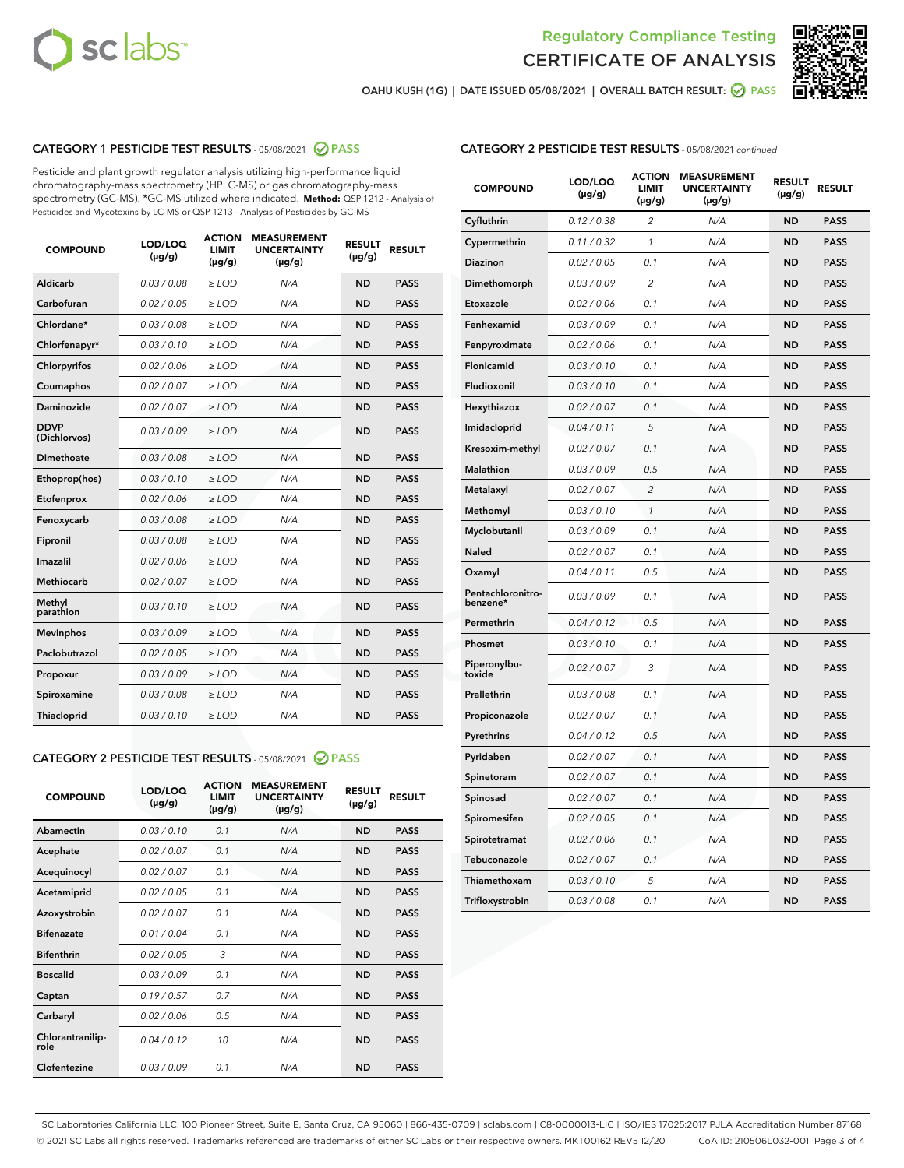



OAHU KUSH (1G) | DATE ISSUED 05/08/2021 | OVERALL BATCH RESULT: 2 PASS

# CATEGORY 1 PESTICIDE TEST RESULTS - 05/08/2021 2 PASS

Pesticide and plant growth regulator analysis utilizing high-performance liquid chromatography-mass spectrometry (HPLC-MS) or gas chromatography-mass spectrometry (GC-MS). \*GC-MS utilized where indicated. **Method:** QSP 1212 - Analysis of Pesticides and Mycotoxins by LC-MS or QSP 1213 - Analysis of Pesticides by GC-MS

| <b>COMPOUND</b>             | LOD/LOQ<br>$(\mu g/g)$ | <b>ACTION</b><br><b>LIMIT</b><br>$(\mu g/g)$ | <b>MEASUREMENT</b><br><b>UNCERTAINTY</b><br>$(\mu g/g)$ | <b>RESULT</b><br>$(\mu g/g)$ | <b>RESULT</b> |
|-----------------------------|------------------------|----------------------------------------------|---------------------------------------------------------|------------------------------|---------------|
| Aldicarb                    | 0.03 / 0.08            | $\ge$ LOD                                    | N/A                                                     | <b>ND</b>                    | <b>PASS</b>   |
| Carbofuran                  | 0.02/0.05              | $>$ LOD                                      | N/A                                                     | <b>ND</b>                    | <b>PASS</b>   |
| Chlordane*                  | 0.03 / 0.08            | $\ge$ LOD                                    | N/A                                                     | <b>ND</b>                    | <b>PASS</b>   |
| Chlorfenapyr*               | 0.03/0.10              | $\ge$ LOD                                    | N/A                                                     | <b>ND</b>                    | <b>PASS</b>   |
| Chlorpyrifos                | 0.02 / 0.06            | $\ge$ LOD                                    | N/A                                                     | <b>ND</b>                    | <b>PASS</b>   |
| Coumaphos                   | 0.02/0.07              | $>$ LOD                                      | N/A                                                     | <b>ND</b>                    | <b>PASS</b>   |
| <b>Daminozide</b>           | 0.02 / 0.07            | $\ge$ LOD                                    | N/A                                                     | <b>ND</b>                    | <b>PASS</b>   |
| <b>DDVP</b><br>(Dichlorvos) | 0.03/0.09              | $\ge$ LOD                                    | N/A                                                     | <b>ND</b>                    | <b>PASS</b>   |
| <b>Dimethoate</b>           | 0.03 / 0.08            | $\ge$ LOD                                    | N/A                                                     | <b>ND</b>                    | <b>PASS</b>   |
| Ethoprop(hos)               | 0.03/0.10              | $\ge$ LOD                                    | N/A                                                     | <b>ND</b>                    | <b>PASS</b>   |
| Etofenprox                  | 0.02 / 0.06            | $\ge$ LOD                                    | N/A                                                     | <b>ND</b>                    | <b>PASS</b>   |
| Fenoxycarb                  | 0.03 / 0.08            | $\ge$ LOD                                    | N/A                                                     | <b>ND</b>                    | <b>PASS</b>   |
| Fipronil                    | 0.03/0.08              | $>$ LOD                                      | N/A                                                     | <b>ND</b>                    | <b>PASS</b>   |
| Imazalil                    | 0.02 / 0.06            | $\ge$ LOD                                    | N/A                                                     | <b>ND</b>                    | <b>PASS</b>   |
| Methiocarb                  | 0.02 / 0.07            | $\ge$ LOD                                    | N/A                                                     | <b>ND</b>                    | <b>PASS</b>   |
| Methyl<br>parathion         | 0.03/0.10              | $>$ LOD                                      | N/A                                                     | <b>ND</b>                    | <b>PASS</b>   |
| <b>Mevinphos</b>            | 0.03/0.09              | $>$ LOD                                      | N/A                                                     | <b>ND</b>                    | <b>PASS</b>   |
| Paclobutrazol               | 0.02 / 0.05            | $\ge$ LOD                                    | N/A                                                     | <b>ND</b>                    | <b>PASS</b>   |
| Propoxur                    | 0.03/0.09              | $>$ LOD                                      | N/A                                                     | <b>ND</b>                    | <b>PASS</b>   |
| Spiroxamine                 | 0.03 / 0.08            | $\ge$ LOD                                    | N/A                                                     | <b>ND</b>                    | <b>PASS</b>   |
| Thiacloprid                 | 0.03/0.10              | $\ge$ LOD                                    | N/A                                                     | <b>ND</b>                    | <b>PASS</b>   |

#### CATEGORY 2 PESTICIDE TEST RESULTS - 05/08/2021 @ PASS

| <b>COMPOUND</b>          | LOD/LOQ<br>$(\mu g/g)$ | <b>ACTION</b><br><b>LIMIT</b><br>$(\mu g/g)$ | <b>MEASUREMENT</b><br><b>UNCERTAINTY</b><br>$(\mu g/g)$ | <b>RESULT</b><br>$(\mu g/g)$ | <b>RESULT</b> |
|--------------------------|------------------------|----------------------------------------------|---------------------------------------------------------|------------------------------|---------------|
| Abamectin                | 0.03/0.10              | 0.1                                          | N/A                                                     | <b>ND</b>                    | <b>PASS</b>   |
| Acephate                 | 0.02/0.07              | 0.1                                          | N/A                                                     | <b>ND</b>                    | <b>PASS</b>   |
| Acequinocyl              | 0.02/0.07              | 0.1                                          | N/A                                                     | <b>ND</b>                    | <b>PASS</b>   |
| Acetamiprid              | 0.02/0.05              | 0.1                                          | N/A                                                     | <b>ND</b>                    | <b>PASS</b>   |
| Azoxystrobin             | 0.02/0.07              | 0.1                                          | N/A                                                     | <b>ND</b>                    | <b>PASS</b>   |
| <b>Bifenazate</b>        | 0.01/0.04              | 0.1                                          | N/A                                                     | <b>ND</b>                    | <b>PASS</b>   |
| <b>Bifenthrin</b>        | 0.02 / 0.05            | 3                                            | N/A                                                     | <b>ND</b>                    | <b>PASS</b>   |
| <b>Boscalid</b>          | 0.03/0.09              | 0.1                                          | N/A                                                     | <b>ND</b>                    | <b>PASS</b>   |
| Captan                   | 0.19/0.57              | 0.7                                          | N/A                                                     | <b>ND</b>                    | <b>PASS</b>   |
| Carbaryl                 | 0.02/0.06              | 0.5                                          | N/A                                                     | <b>ND</b>                    | <b>PASS</b>   |
| Chlorantranilip-<br>role | 0.04/0.12              | 10                                           | N/A                                                     | <b>ND</b>                    | <b>PASS</b>   |
| Clofentezine             | 0.03/0.09              | 0.1                                          | N/A                                                     | <b>ND</b>                    | <b>PASS</b>   |

| <b>CATEGORY 2 PESTICIDE TEST RESULTS</b> - 05/08/2021 continued |  |
|-----------------------------------------------------------------|--|
|                                                                 |  |

| <b>COMPOUND</b>               | LOD/LOQ<br>(µg/g) | <b>ACTION</b><br><b>LIMIT</b><br>(µg/g) | <b>MEASUREMENT</b><br><b>UNCERTAINTY</b><br>$(\mu g/g)$ | <b>RESULT</b><br>(µg/g) | <b>RESULT</b> |
|-------------------------------|-------------------|-----------------------------------------|---------------------------------------------------------|-------------------------|---------------|
| Cyfluthrin                    | 0.12 / 0.38       | $\overline{c}$                          | N/A                                                     | <b>ND</b>               | <b>PASS</b>   |
| Cypermethrin                  | 0.11 / 0.32       | 1                                       | N/A                                                     | <b>ND</b>               | <b>PASS</b>   |
| <b>Diazinon</b>               | 0.02 / 0.05       | 0.1                                     | N/A                                                     | <b>ND</b>               | <b>PASS</b>   |
| Dimethomorph                  | 0.03 / 0.09       | 2                                       | N/A                                                     | <b>ND</b>               | <b>PASS</b>   |
| Etoxazole                     | 0.02 / 0.06       | 0.1                                     | N/A                                                     | <b>ND</b>               | <b>PASS</b>   |
| Fenhexamid                    | 0.03 / 0.09       | 0.1                                     | N/A                                                     | <b>ND</b>               | <b>PASS</b>   |
| Fenpyroximate                 | 0.02 / 0.06       | 0.1                                     | N/A                                                     | <b>ND</b>               | <b>PASS</b>   |
| Flonicamid                    | 0.03 / 0.10       | 0.1                                     | N/A                                                     | <b>ND</b>               | <b>PASS</b>   |
| Fludioxonil                   | 0.03 / 0.10       | 0.1                                     | N/A                                                     | <b>ND</b>               | <b>PASS</b>   |
| Hexythiazox                   | 0.02 / 0.07       | 0.1                                     | N/A                                                     | <b>ND</b>               | <b>PASS</b>   |
| Imidacloprid                  | 0.04 / 0.11       | 5                                       | N/A                                                     | <b>ND</b>               | <b>PASS</b>   |
| Kresoxim-methyl               | 0.02 / 0.07       | 0.1                                     | N/A                                                     | <b>ND</b>               | <b>PASS</b>   |
| Malathion                     | 0.03 / 0.09       | 0.5                                     | N/A                                                     | <b>ND</b>               | <b>PASS</b>   |
| Metalaxyl                     | 0.02 / 0.07       | $\overline{c}$                          | N/A                                                     | <b>ND</b>               | <b>PASS</b>   |
| Methomyl                      | 0.03 / 0.10       | $\mathcal{I}$                           | N/A                                                     | <b>ND</b>               | <b>PASS</b>   |
| Myclobutanil                  | 0.03 / 0.09       | 0.1                                     | N/A                                                     | <b>ND</b>               | <b>PASS</b>   |
| <b>Naled</b>                  | 0.02 / 0.07       | 0.1                                     | N/A                                                     | <b>ND</b>               | <b>PASS</b>   |
| Oxamyl                        | 0.04 / 0.11       | 0.5                                     | N/A                                                     | <b>ND</b>               | <b>PASS</b>   |
| Pentachloronitro-<br>benzene* | 0.03/0.09         | 0.1                                     | N/A                                                     | <b>ND</b>               | <b>PASS</b>   |
| Permethrin                    | 0.04 / 0.12       | 0.5                                     | N/A                                                     | <b>ND</b>               | <b>PASS</b>   |
| Phosmet                       | 0.03 / 0.10       | 0.1                                     | N/A                                                     | <b>ND</b>               | <b>PASS</b>   |
| Piperonylbu-<br>toxide        | 0.02 / 0.07       | 3                                       | N/A                                                     | <b>ND</b>               | <b>PASS</b>   |
| Prallethrin                   | 0.03 / 0.08       | 0.1                                     | N/A                                                     | <b>ND</b>               | <b>PASS</b>   |
| Propiconazole                 | 0.02 / 0.07       | 0.1                                     | N/A                                                     | <b>ND</b>               | <b>PASS</b>   |
| Pyrethrins                    | 0.04 / 0.12       | 0.5                                     | N/A                                                     | <b>ND</b>               | <b>PASS</b>   |
| Pyridaben                     | 0.02 / 0.07       | 0.1                                     | N/A                                                     | <b>ND</b>               | <b>PASS</b>   |
| Spinetoram                    | 0.02 / 0.07       | 0.1                                     | N/A                                                     | <b>ND</b>               | <b>PASS</b>   |
| Spinosad                      | 0.02 / 0.07       | 0.1                                     | N/A                                                     | <b>ND</b>               | <b>PASS</b>   |
| Spiromesifen                  | 0.02 / 0.05       | 0.1                                     | N/A                                                     | <b>ND</b>               | <b>PASS</b>   |
| Spirotetramat                 | 0.02 / 0.06       | 0.1                                     | N/A                                                     | ND                      | <b>PASS</b>   |
| Tebuconazole                  | 0.02 / 0.07       | 0.1                                     | N/A                                                     | <b>ND</b>               | <b>PASS</b>   |
| Thiamethoxam                  | 0.03 / 0.10       | 5                                       | N/A                                                     | <b>ND</b>               | <b>PASS</b>   |
| Trifloxystrobin               | 0.03 / 0.08       | 0.1                                     | N/A                                                     | <b>ND</b>               | <b>PASS</b>   |

SC Laboratories California LLC. 100 Pioneer Street, Suite E, Santa Cruz, CA 95060 | 866-435-0709 | sclabs.com | C8-0000013-LIC | ISO/IES 17025:2017 PJLA Accreditation Number 87168 © 2021 SC Labs all rights reserved. Trademarks referenced are trademarks of either SC Labs or their respective owners. MKT00162 REV5 12/20 CoA ID: 210506L032-001 Page 3 of 4